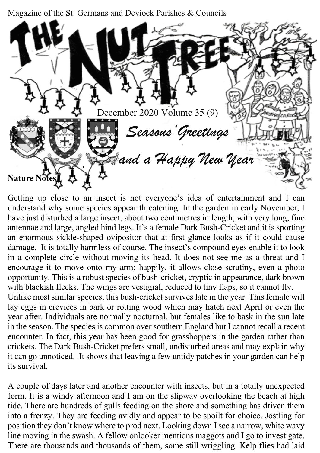Magazine of the St. Germans and Deviock Parishes & Councils



Getting up close to an insect is not everyone's idea of entertainment and I can understand why some species appear threatening. In the garden in early November, I have just disturbed a large insect, about two centimetres in length, with very long, fine antennae and large, angled hind legs. It's a female Dark Bush-Cricket and it is sporting an enormous sickle-shaped ovipositor that at first glance looks as if it could cause damage. It is totally harmless of course. The insect's compound eyes enable it to look in a complete circle without moving its head. It does not see me as a threat and I encourage it to move onto my arm; happily, it allows close scrutiny, even a photo opportunity. This is a robust species of bush-cricket, cryptic in appearance, dark brown with blackish flecks. The wings are vestigial, reduced to tiny flaps, so it cannot fly.

Unlike most similar species, this bush-cricket survives late in the year. This female will lay eggs in crevices in bark or rotting wood which may hatch next April or even the year after. Individuals are normally nocturnal, but females like to bask in the sun late in the season. The species is common over southern England but I cannot recall a recent encounter. In fact, this year has been good for grasshoppers in the garden rather than crickets. The Dark Bush-Cricket prefers small, undisturbed areas and may explain why it can go unnoticed. It shows that leaving a few untidy patches in your garden can help its survival.

A couple of days later and another encounter with insects, but in a totally unexpected form. It is a windy afternoon and I am on the slipway overlooking the beach at high tide. There are hundreds of gulls feeding on the shore and something has driven them into a frenzy. They are feeding avidly and appear to be spoilt for choice. Jostling for position they don't know where to prod next. Looking down I see a narrow, white wavy line moving in the swash. A fellow onlooker mentions maggots and I go to investigate. There are thousands and thousands of them, some still wriggling. Kelp flies had laid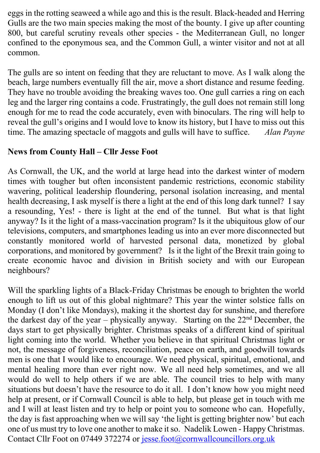eggs in the rotting seaweed a while ago and this is the result. Black-headed and Herring Gulls are the two main species making the most of the bounty. I give up after counting 800, but careful scrutiny reveals other species - the Mediterranean Gull, no longer confined to the eponymous sea, and the Common Gull, a winter visitor and not at all common.

The gulls are so intent on feeding that they are reluctant to move. As I walk along the beach, large numbers eventually fill the air, move a short distance and resume feeding. They have no trouble avoiding the breaking waves too. One gull carries a ring on each leg and the larger ring contains a code. Frustratingly, the gull does not remain still long enough for me to read the code accurately, even with binoculars. The ring will help to reveal the gull's origins and I would love to know its history, but I have to miss out this time. The amazing spectacle of maggots and gulls will have to suffice. *Alan Payne*

## **News from County Hall – Cllr Jesse Foot**

As Cornwall, the UK, and the world at large head into the darkest winter of modern times with tougher but often inconsistent pandemic restrictions, economic stability wavering, political leadership floundering, personal isolation increasing, and mental health decreasing, I ask myself is there a light at the end of this long dark tunnel? I say a resounding, Yes! - there is light at the end of the tunnel. But what is that light anyway? Is it the light of a mass-vaccination program? Is it the ubiquitous glow of our televisions, computers, and smartphones leading us into an ever more disconnected but constantly monitored world of harvested personal data, monetized by global corporations, and monitored by government? Is it the light of the Brexit train going to create economic havoc and division in British society and with our European neighbours?

Will the sparkling lights of a Black-Friday Christmas be enough to brighten the world enough to lift us out of this global nightmare? This year the winter solstice falls on Monday (I don't like Mondays), making it the shortest day for sunshine, and therefore the darkest day of the year – physically anyway. Starting on the  $22<sup>nd</sup>$  December, the days start to get physically brighter. Christmas speaks of a different kind of spiritual light coming into the world. Whether you believe in that spiritual Christmas light or not, the message of forgiveness, reconciliation, peace on earth, and goodwill towards men is one that I would like to encourage. We need physical, spiritual, emotional, and mental healing more than ever right now. We all need help sometimes, and we all would do well to help others if we are able. The council tries to help with many situations but doesn't have the resource to do it all. I don't know how you might need help at present, or if Cornwall Council is able to help, but please get in touch with me and I will at least listen and try to help or point you to someone who can. Hopefully, the day is fast approaching when we will say 'the light is getting brighter now' but each one of us must try to love one another to make it so. Nadelik Lowen - Happy Christmas. Contact Cllr Foot on 07449 372274 or jesse.foot@cornwallcouncillors.org.uk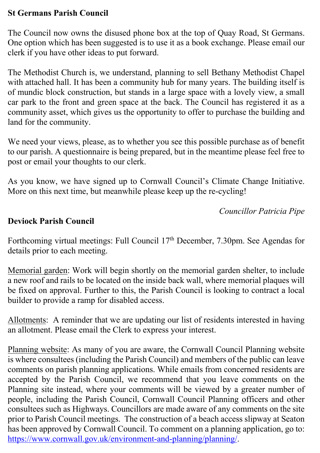### **St Germans Parish Council**

The Council now owns the disused phone box at the top of Quay Road, St Germans. One option which has been suggested is to use it as a book exchange. Please email our clerk if you have other ideas to put forward.

The Methodist Church is, we understand, planning to sell Bethany Methodist Chapel with attached hall. It has been a community hub for many years. The building itself is of mundic block construction, but stands in a large space with a lovely view, a small car park to the front and green space at the back. The Council has registered it as a community asset, which gives us the opportunity to offer to purchase the building and land for the community.

We need your views, please, as to whether you see this possible purchase as of benefit to our parish. A questionnaire is being prepared, but in the meantime please feel free to post or email your thoughts to our clerk.

As you know, we have signed up to Cornwall Council's Climate Change Initiative. More on this next time, but meanwhile please keep up the re-cycling!

*Councillor Patricia Pipe*

### **Deviock Parish Council**

Forthcoming virtual meetings: Full Council 17th December, 7.30pm. See Agendas for details prior to each meeting.

Memorial garden: Work will begin shortly on the memorial garden shelter, to include a new roof and rails to be located on the inside back wall, where memorial plaques will be fixed on approval. Further to this, the Parish Council is looking to contract a local builder to provide a ramp for disabled access.

Allotments: A reminder that we are updating our list of residents interested in having an allotment. Please email the Clerk to express your interest.

Planning website: As many of you are aware, the Cornwall Council Planning website is where consultees (including the Parish Council) and members of the public can leave comments on parish planning applications. While emails from concerned residents are accepted by the Parish Council, we recommend that you leave comments on the Planning site instead, where your comments will be viewed by a greater number of people, including the Parish Council, Cornwall Council Planning officers and other consultees such as Highways. Councillors are made aware of any comments on the site prior to Parish Council meetings. The construction of a beach access slipway at Seaton has been approved by Cornwall Council. To comment on a planning application, go to: https://www.cornwall.gov.uk/environment-and-planning/planning/.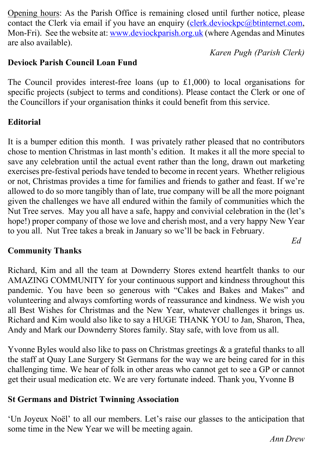Opening hours: As the Parish Office is remaining closed until further notice, please contact the Clerk via email if you have an enquiry (clerk.deviockpc@btinternet.com, Mon-Fri). See the website at: www.deviockparish.org.uk (where Agendas and Minutes are also available).

*Karen Pugh (Parish Clerk)*

### **Deviock Parish Council Loan Fund**

The Council provides interest-free loans (up to £1,000) to local organisations for specific projects (subject to terms and conditions). Please contact the Clerk or one of the Councillors if your organisation thinks it could benefit from this service.

## **Editorial**

It is a bumper edition this month. I was privately rather pleased that no contributors chose to mention Christmas in last month's edition. It makes it all the more special to save any celebration until the actual event rather than the long, drawn out marketing exercises pre-festival periods have tended to become in recent years. Whether religious or not, Christmas provides a time for families and friends to gather and feast. If we're allowed to do so more tangibly than of late, true company will be all the more poignant given the challenges we have all endured within the family of communities which the Nut Tree serves. May you all have a safe, happy and convivial celebration in the (let's hope!) proper company of those we love and cherish most, and a very happy New Year to you all. Nut Tree takes a break in January so we'll be back in February.

### **Community Thanks**

Richard, Kim and all the team at Downderry Stores extend heartfelt thanks to our AMAZING COMMUNITY for your continuous support and kindness throughout this pandemic. You have been so generous with "Cakes and Bakes and Makes" and volunteering and always comforting words of reassurance and kindness. We wish you all Best Wishes for Christmas and the New Year, whatever challenges it brings us. Richard and Kim would also like to say a HUGE THANK YOU to Jan, Sharon, Thea, Andy and Mark our Downderry Stores family. Stay safe, with love from us all.

Yvonne Byles would also like to pass on Christmas greetings & a grateful thanks to all the staff at Quay Lane Surgery St Germans for the way we are being cared for in this challenging time. We hear of folk in other areas who cannot get to see a GP or cannot get their usual medication etc. We are very fortunate indeed. Thank you, Yvonne B

### **St Germans and District Twinning Association**

'Un Joyeux Noël' to all our members. Let's raise our glasses to the anticipation that some time in the New Year we will be meeting again.

*Ed*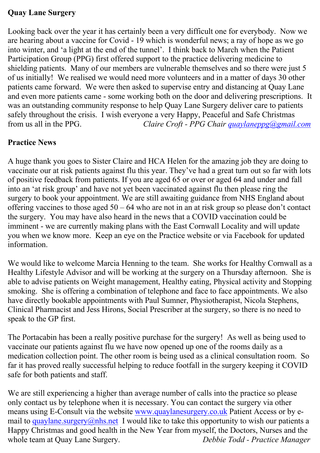#### **Quay Lane Surgery**

Looking back over the year it has certainly been a very difficult one for everybody. Now we are hearing about a vaccine for Covid - 19 which is wonderful news; a ray of hope as we go into winter, and 'a light at the end of the tunnel'. I think back to March when the Patient Participation Group (PPG) first offered support to the practice delivering medicine to shielding patients. Many of our members are vulnerable themselves and so there were just 5 of us initially! We realised we would need more volunteers and in a matter of days 30 other patients came forward. We were then asked to supervise entry and distancing at Quay Lane and even more patients came - some working both on the door and delivering prescriptions. It was an outstanding community response to help Quay Lane Surgery deliver care to patients safely throughout the crisis. I wish everyone a very Happy, Peaceful and Safe Christmas from us all in the PPG. *Claire Croft - PPG Chair quaylaneppg@gmail.com* 

### **Practice News**

A huge thank you goes to Sister Claire and HCA Helen for the amazing job they are doing to vaccinate our at risk patients against flu this year. They've had a great turn out so far with lots of positive feedback from patients. If you are aged 65 or over or aged 64 and under and fall into an 'at risk group' and have not yet been vaccinated against flu then please ring the surgery to book your appointment. We are still awaiting guidance from NHS England about offering vaccines to those aged  $50 - 64$  who are not in an at risk group so please don't contact the surgery. You may have also heard in the news that a COVID vaccination could be imminent - we are currently making plans with the East Cornwall Locality and will update you when we know more. Keep an eye on the Practice website or via Facebook for updated information.

We would like to welcome Marcia Henning to the team. She works for Healthy Cornwall as a Healthy Lifestyle Advisor and will be working at the surgery on a Thursday afternoon. She is able to advise patients on Weight management, Healthy eating, Physical activity and Stopping smoking. She is offering a combination of telephone and face to face appointments. We also have directly bookable appointments with Paul Sumner, Physiotherapist, Nicola Stephens, Clinical Pharmacist and Jess Hirons, Social Prescriber at the surgery, so there is no need to speak to the GP first.

The Portacabin has been a really positive purchase for the surgery! As well as being used to vaccinate our patients against flu we have now opened up one of the rooms daily as a medication collection point. The other room is being used as a clinical consultation room. So far it has proved really successful helping to reduce footfall in the surgery keeping it COVID safe for both patients and staff.

We are still experiencing a higher than average number of calls into the practice so please only contact us by telephone when it is necessary. You can contact the surgery via other means using E-Consult via the website www.quaylanesurgery.co.uk Patient Access or by email to quaylane.surgery@nhs.net I would like to take this opportunity to wish our patients a Happy Christmas and good health in the New Year from myself, the Doctors, Nurses and the whole team at Quay Lane Surgery. *Debbie Todd - Practice Manager*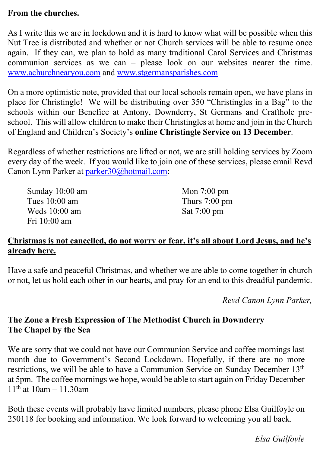### **From the churches.**

As I write this we are in lockdown and it is hard to know what will be possible when this Nut Tree is distributed and whether or not Church services will be able to resume once again. If they can, we plan to hold as many traditional Carol Services and Christmas communion services as we can – please look on our websites nearer the time. www.achurchnearyou.com and www.stgermansparishes.com

On a more optimistic note, provided that our local schools remain open, we have plans in place for Christingle! We will be distributing over 350 "Christingles in a Bag" to the schools within our Benefice at Antony, Downderry, St Germans and Crafthole preschool. This will allow children to make their Christingles at home and join in the Church of England and Children's Society's **online Christingle Service on 13 December**.

Regardless of whether restrictions are lifted or not, we are still holding services by Zoom every day of the week. If you would like to join one of these services, please email Revd Canon Lynn Parker at parker30@hotmail.com:

| Sunday 10:00 am | Mon $7:00 \text{ pm}$   |
|-----------------|-------------------------|
| Tues $10:00$ am | Thurs $7:00 \text{ pm}$ |
| Weds $10:00$ am | Sat $7:00 \text{ pm}$   |
| Fri 10:00 am    |                         |

### **Christmas is not cancelled, do not worry or fear, it's all about Lord Jesus, and he's already here.**

Have a safe and peaceful Christmas, and whether we are able to come together in church or not, let us hold each other in our hearts, and pray for an end to this dreadful pandemic.

*Revd Canon Lynn Parker,*

# **The Zone a Fresh Expression of The Methodist Church in Downderry The Chapel by the Sea**

We are sorry that we could not have our Communion Service and coffee mornings last month due to Government's Second Lockdown. Hopefully, if there are no more restrictions, we will be able to have a Communion Service on Sunday December 13<sup>th</sup> at 5pm. The coffee mornings we hope, would be able to start again on Friday December  $11^{th}$  at  $10am - 11.30am$ 

Both these events will probably have limited numbers, please phone Elsa Guilfoyle on 250118 for booking and information. We look forward to welcoming you all back.

*Elsa Guilfoyle*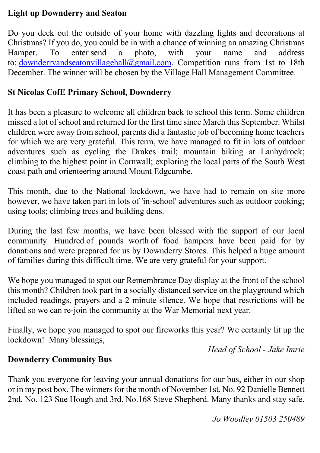### **Light up Downderry and Seaton**

Do you deck out the outside of your home with dazzling lights and decorations at Christmas? If you do, you could be in with a chance of winning an amazing Christmas Hamper. To enter send a photo, with your name and address to: downderryandseatonvillagehall@gmail.com. Competition runs from 1st to 18th December. The winner will be chosen by the Village Hall Management Committee.

### **St Nicolas CofE Primary School, Downderry**

It has been a pleasure to welcome all children back to school this term. Some children missed a lot of school and returned for the first time since March this September. Whilst children were away from school, parents did a fantastic job of becoming home teachers for which we are very grateful. This term, we have managed to fit in lots of outdoor adventures such as cycling the Drakes trail; mountain biking at Lanhydrock; climbing to the highest point in Cornwall; exploring the local parts of the South West coast path and orienteering around Mount Edgcumbe.

This month, due to the National lockdown, we have had to remain on site more however, we have taken part in lots of 'in-school' adventures such as outdoor cooking; using tools; climbing trees and building dens.

During the last few months, we have been blessed with the support of our local community. Hundred of pounds worth of food hampers have been paid for by donations and were prepared for us by Downderry Stores. This helped a huge amount of families during this difficult time. We are very grateful for your support.

We hope you managed to spot our Remembrance Day display at the front of the school this month? Children took part in a socially distanced service on the playground which included readings, prayers and a 2 minute silence. We hope that restrictions will be lifted so we can re-join the community at the War Memorial next year.

Finally, we hope you managed to spot our fireworks this year? We certainly lit up the lockdown! Many blessings,

*Head of School - Jake Imrie*

### **Downderry Community Bus**

Thank you everyone for leaving your annual donations for our bus, either in our shop or in my post box. The winners for the month of November 1st. No. 92 Danielle Bennett 2nd. No. 123 Sue Hough and 3rd. No.168 Steve Shepherd. Many thanks and stay safe.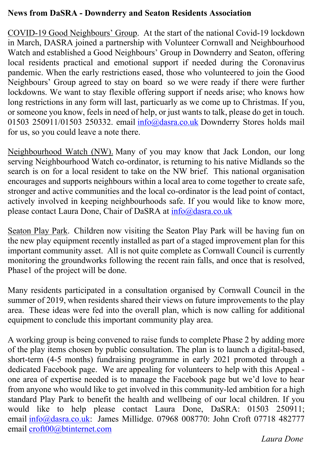#### **News from DaSRA - Downderry and Seaton Residents Association**

COVID-19 Good Neighbours' Group. At the start of the national Covid-19 lockdown in March, DASRA joined a partnership with Volunteer Cornwall and Neighbourhood Watch and established a Good Neighbours' Group in Downderry and Seaton, offering local residents practical and emotional support if needed during the Coronavirus pandemic. When the early restrictions eased, those who volunteered to join the Good Neighbours' Group agreed to stay on board so we were ready if there were further lockdowns. We want to stay flexible offering support if needs arise; who knows how long restrictions in any form will last, particuarly as we come up to Christmas. If you, or someone you know, feels in need of help, or just wants to talk, please do get in touch. 01503 250911/01503 250332. email info@dasra.co.uk Downderry Stores holds mail for us, so you could leave a note there.

Neighbourhood Watch (NW). Many of you may know that Jack London, our long serving Neighbourhood Watch co-ordinator, is returning to his native Midlands so the search is on for a local resident to take on the NW brief. This national organisation encourages and supports neighbours within a local area to come together to create safe, stronger and active communities and the local co-ordinator is the lead point of contact, actively involved in keeping neighbourhoods safe. If you would like to know more, please contact Laura Done, Chair of DaSRA at info@dasra.co.uk

Seaton Play Park. Children now visiting the Seaton Play Park will be having fun on the new play equipment recently installed as part of a staged improvement plan for this important community asset. All is not quite complete as Cornwall Council is currently monitoring the groundworks following the recent rain falls, and once that is resolved, Phase1 of the project will be done.

Many residents participated in a consultation organised by Cornwall Council in the summer of 2019, when residents shared their views on future improvements to the play area. These ideas were fed into the overall plan, which is now calling for additional equipment to conclude this important community play area.

A working group is being convened to raise funds to complete Phase 2 by adding more of the play items chosen by public consultation. The plan is to launch a digital-based, short-term (4-5 months) fundraising programme in early 2021 promoted through a dedicated Facebook page. We are appealing for volunteers to help with this Appeal one area of expertise needed is to manage the Facebook page but we'd love to hear from anyone who would like to get involved in this community-led ambition for a high standard Play Park to benefit the health and wellbeing of our local children. If you would like to help please contact Laura Done, DaSRA: 01503 250911; email info@dasra.co.uk: James Millidge. 07968 008770: John Croft 07718 482777 email croft00@btinternet.com

*Laura Done*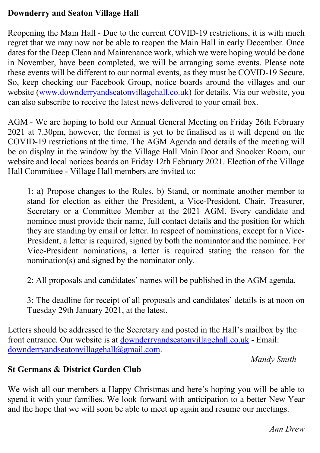### **Downderry and Seaton Village Hall**

Reopening the Main Hall - Due to the current COVID-19 restrictions, it is with much regret that we may now not be able to reopen the Main Hall in early December. Once dates for the Deep Clean and Maintenance work, which we were hoping would be done in November, have been completed, we will be arranging some events. Please note these events will be different to our normal events, as they must be COVID-19 Secure. So, keep checking our Facebook Group, notice boards around the villages and our website (www.downderryandseatonvillagehall.co.uk) for details. Via our website, you can also subscribe to receive the latest news delivered to your email box.

AGM - We are hoping to hold our Annual General Meeting on Friday 26th February 2021 at 7.30pm, however, the format is yet to be finalised as it will depend on the COVID-19 restrictions at the time. The AGM Agenda and details of the meeting will be on display in the window by the Village Hall Main Door and Snooker Room, our website and local notices boards on Friday 12th February 2021. Election of the Village Hall Committee - Village Hall members are invited to:

1: a) Propose changes to the Rules. b) Stand, or nominate another member to stand for election as either the President, a Vice-President, Chair, Treasurer, Secretary or a Committee Member at the 2021 AGM. Every candidate and nominee must provide their name, full contact details and the position for which they are standing by email or letter. In respect of nominations, except for a Vice-President, a letter is required, signed by both the nominator and the nominee. For Vice-President nominations, a letter is required stating the reason for the nomination(s) and signed by the nominator only.

2: All proposals and candidates' names will be published in the AGM agenda.

3: The deadline for receipt of all proposals and candidates' details is at noon on Tuesday 29th January 2021, at the latest.

Letters should be addressed to the Secretary and posted in the Hall's mailbox by the front entrance. Our website is at downderryandseatonvillagehall.co.uk - Email: downderryandseatonvillagehall@gmail.com.

*Mandy Smith*

### **St Germans & District Garden Club**

We wish all our members a Happy Christmas and here's hoping you will be able to spend it with your families. We look forward with anticipation to a better New Year and the hope that we will soon be able to meet up again and resume our meetings.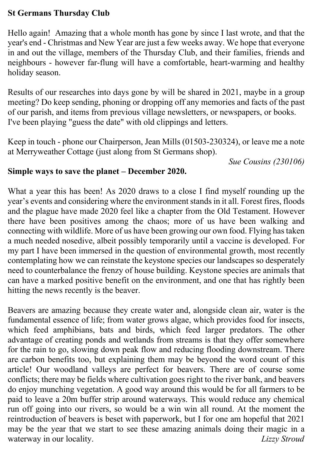### **St Germans Thursday Club**

Hello again! Amazing that a whole month has gone by since I last wrote, and that the year's end - Christmas and New Year are just a few weeks away. We hope that everyone in and out the village, members of the Thursday Club, and their families, friends and neighbours - however far-flung will have a comfortable, heart-warming and healthy holiday season.

Results of our researches into days gone by will be shared in 2021, maybe in a group meeting? Do keep sending, phoning or dropping off any memories and facts of the past of our parish, and items from previous village newsletters, or newspapers, or books. I've been playing "guess the date" with old clippings and letters.

Keep in touch - phone our Chairperson, Jean Mills (01503-230324), or leave me a note at Merryweather Cottage (just along from St Germans shop).

*Sue Cousins (230106)*

#### **Simple ways to save the planet – December 2020.**

What a year this has been! As 2020 draws to a close I find myself rounding up the year's events and considering where the environment stands in it all. Forest fires, floods and the plague have made 2020 feel like a chapter from the Old Testament. However there have been positives among the chaos; more of us have been walking and connecting with wildlife. More of us have been growing our own food. Flying has taken a much needed nosedive, albeit possibly temporarily until a vaccine is developed. For my part I have been immersed in the question of environmental growth, most recently contemplating how we can reinstate the keystone species our landscapes so desperately need to counterbalance the frenzy of house building. Keystone species are animals that can have a marked positive benefit on the environment, and one that has rightly been hitting the news recently is the beaver.

Beavers are amazing because they create water and, alongside clean air, water is the fundamental essence of life; from water grows algae, which provides food for insects, which feed amphibians, bats and birds, which feed larger predators. The other advantage of creating ponds and wetlands from streams is that they offer somewhere for the rain to go, slowing down peak flow and reducing flooding downstream. There are carbon benefits too, but explaining them may be beyond the word count of this article! Our woodland valleys are perfect for beavers. There are of course some conflicts; there may be fields where cultivation goes right to the river bank, and beavers do enjoy munching vegetation. A good way around this would be for all farmers to be paid to leave a 20m buffer strip around waterways. This would reduce any chemical run off going into our rivers, so would be a win win all round. At the moment the reintroduction of beavers is beset with paperwork, but I for one am hopeful that 2021 may be the year that we start to see these amazing animals doing their magic in a waterway in our locality. *Lizzy Stroud*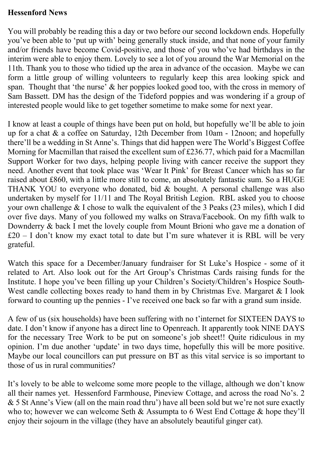#### **Hessenford News**

You will probably be reading this a day or two before our second lockdown ends. Hopefully you've been able to 'put up with' being generally stuck inside, and that none of your family and/or friends have become Covid-positive, and those of you who've had birthdays in the interim were able to enjoy them. Lovely to see a lot of you around the War Memorial on the 11th. Thank you to those who tidied up the area in advance of the occasion. Maybe we can form a little group of willing volunteers to regularly keep this area looking spick and span. Thought that 'the nurse' & her poppies looked good too, with the cross in memory of Sam Bassett. DM has the design of the Tideford poppies and was wondering if a group of interested people would like to get together sometime to make some for next year.

I know at least a couple of things have been put on hold, but hopefully we'll be able to join up for a chat & a coffee on Saturday, 12th December from 10am - 12noon; and hopefully there'll be a wedding in St Anne's. Things that did happen were The World's Biggest Coffee Morning for Macmillan that raised the excellent sum of £236.77, which paid for a Macmillan Support Worker for two days, helping people living with cancer receive the support they need. Another event that took place was 'Wear It Pink' for Breast Cancer which has so far raised about £860, with a little more still to come, an absolutely fantastic sum. So a HUGE THANK YOU to everyone who donated, bid & bought. A personal challenge was also undertaken by myself for 11/11 and The Royal British Legion. RBL asked you to choose your own challenge & I chose to walk the equivalent of the 3 Peaks (23 miles), which I did over five days. Many of you followed my walks on Strava/Facebook. On my fifth walk to Downderry & back I met the lovely couple from Mount Brioni who gave me a donation of £20 – I don't know my exact total to date but I'm sure whatever it is RBL will be very grateful.

Watch this space for a December/January fundraiser for St Luke's Hospice - some of it related to Art. Also look out for the Art Group's Christmas Cards raising funds for the Institute. I hope you've been filling up your Children's Society/Children's Hospice South-West candle collecting boxes ready to hand them in by Christmas Eve. Margaret & I look forward to counting up the pennies - I've received one back so far with a grand sum inside.

A few of us (six households) have been suffering with no t'internet for SIXTEEN DAYS to date. I don't know if anyone has a direct line to Openreach. It apparently took NINE DAYS for the necessary Tree Work to be put on someone's job sheet!! Quite ridiculous in my opinion. I'm due another 'update' in two days time, hopefully this will be more positive. Maybe our local councillors can put pressure on BT as this vital service is so important to those of us in rural communities?

It's lovely to be able to welcome some more people to the village, although we don't know all their names yet. Hessenford Farmhouse, Pineview Cottage, and across the road No's. 2 & 5 St Anne's View (all on the main road thru') have all been sold but we're not sure exactly who to; however we can welcome Seth & Assumpta to 6 West End Cottage & hope they'll enjoy their sojourn in the village (they have an absolutely beautiful ginger cat).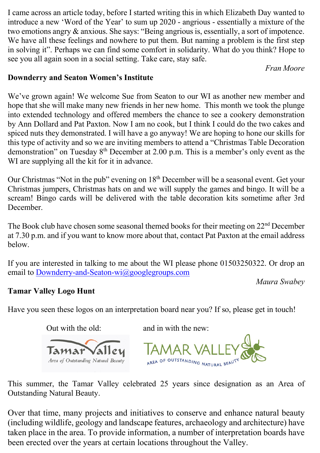I came across an article today, before I started writing this in which Elizabeth Day wanted to introduce a new 'Word of the Year' to sum up 2020 - angrious - essentially a mixture of the two emotions angry & anxious. She says: "Being angrious is, essentially, a sort of impotence. We have all these feelings and nowhere to put them. But naming a problem is the first step in solving it". Perhaps we can find some comfort in solidarity. What do you think? Hope to see you all again soon in a social setting. Take care, stay safe.

*Fran Moore*

### **Downderry and Seaton Women's Institute**

We've grown again! We welcome Sue from Seaton to our WI as another new member and hope that she will make many new friends in her new home. This month we took the plunge into extended technology and offered members the chance to see a cookery demonstration by Ann Dollard and Pat Paxton. Now I am no cook, but I think I could do the two cakes and spiced nuts they demonstrated. I will have a go anyway! We are hoping to hone our skills for this type of activity and so we are inviting members to attend a "Christmas Table Decoration demonstration" on Tuesday 8<sup>th</sup> December at 2.00 p.m. This is a member's only event as the WI are supplying all the kit for it in advance.

Our Christmas "Not in the pub" evening on  $18<sup>th</sup>$  December will be a seasonal event. Get your Christmas jumpers, Christmas hats on and we will supply the games and bingo. It will be a scream! Bingo cards will be delivered with the table decoration kits sometime after 3rd December.

The Book club have chosen some seasonal themed books for their meeting on  $22<sup>nd</sup>$  December at 7.30 p.m. and if you want to know more about that, contact Pat Paxton at the email address below.

If you are interested in talking to me about the WI please phone 01503250322. Or drop an email to Downderry-and-Seaton-wi@googlegroups.com

*Maura Swabey*

## **Tamar Valley Logo Hunt**

Have you seen these logos on an interpretation board near you? If so, please get in touch!



This summer, the Tamar Valley celebrated 25 years since designation as an Area of Outstanding Natural Beauty.

Over that time, many projects and initiatives to conserve and enhance natural beauty (including wildlife, geology and landscape features, archaeology and architecture) have taken place in the area. To provide information, a number of interpretation boards have been erected over the years at certain locations throughout the Valley.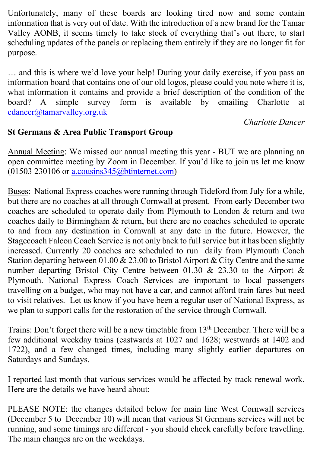Unfortunately, many of these boards are looking tired now and some contain information that is very out of date. With the introduction of a new brand for the Tamar Valley AONB, it seems timely to take stock of everything that's out there, to start scheduling updates of the panels or replacing them entirely if they are no longer fit for purpose.

… and this is where we'd love your help! During your daily exercise, if you pass an information board that contains one of our old logos, please could you note where it is, what information it contains and provide a brief description of the condition of the board? A simple survey form is available by emailing Charlotte at cdancer@tamarvalley.org.uk

*Charlotte Dancer*

# **St Germans & Area Public Transport Group**

Annual Meeting: We missed our annual meeting this year - BUT we are planning an open committee meeting by Zoom in December. If you'd like to join us let me know  $(01503 230106$  or a.cousins  $345$  (a) btinternet.com)

Buses: National Express coaches were running through Tideford from July for a while, but there are no coaches at all through Cornwall at present. From early December two coaches are scheduled to operate daily from Plymouth to London & return and two coaches daily to Birmingham & return, but there are no coaches scheduled to operate to and from any destination in Cornwall at any date in the future. However, the Stagecoach Falcon Coach Service is not only back to full service but it has been slightly increased. Currently 20 coaches are scheduled to run daily from Plymouth Coach Station departing between 01.00 & 23.00 to Bristol Airport & City Centre and the same number departing Bristol City Centre between 01.30 & 23.30 to the Airport & Plymouth. National Express Coach Services are important to local passengers travelling on a budget, who may not have a car, and cannot afford train fares but need to visit relatives. Let us know if you have been a regular user of National Express, as we plan to support calls for the restoration of the service through Cornwall.

Trains: Don't forget there will be a new timetable from 13<sup>th</sup> December. There will be a few additional weekday trains (eastwards at 1027 and 1628; westwards at 1402 and 1722), and a few changed times, including many slightly earlier departures on Saturdays and Sundays.

I reported last month that various services would be affected by track renewal work. Here are the details we have heard about:

PLEASE NOTE: the changes detailed below for main line West Cornwall services (December 5 to December 10) will mean that various St Germans services will not be running, and some timings are different - you should check carefully before travelling. The main changes are on the weekdays.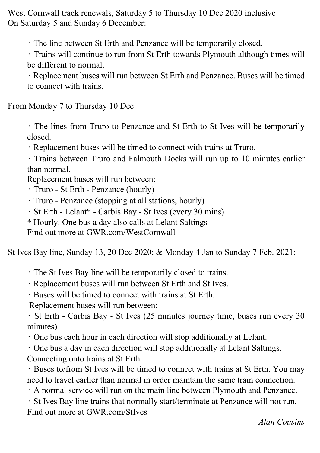West Cornwall track renewals, Saturday 5 to Thursday 10 Dec 2020 inclusive On Saturday 5 and Sunday 6 December:

• The line between St Erth and Penzance will be temporarily closed.

• Trains will continue to run from St Erth towards Plymouth although times will be different to normal.

• Replacement buses will run between St Erth and Penzance. Buses will be timed to connect with trains.

From Monday 7 to Thursday 10 Dec:

• The lines from Truro to Penzance and St Erth to St Ives will be temporarily closed.

• Replacement buses will be timed to connect with trains at Truro.

• Trains between Truro and Falmouth Docks will run up to 10 minutes earlier than normal.

Replacement buses will run between:

• Truro - St Erth - Penzance (hourly)

• Truro - Penzance (stopping at all stations, hourly)

• St Erth - Lelant\* - Carbis Bay - St Ives (every 30 mins)

\* Hourly. One bus a day also calls at Lelant Saltings

Find out more at GWR.com/WestCornwall

St Ives Bay line, Sunday 13, 20 Dec 2020; & Monday 4 Jan to Sunday 7 Feb. 2021:

• The St Ives Bay line will be temporarily closed to trains.

• Replacement buses will run between St Erth and St Ives.

• Buses will be timed to connect with trains at St Erth.

Replacement buses will run between:

• St Erth - Carbis Bay - St Ives (25 minutes journey time, buses run every 30 minutes)

• One bus each hour in each direction will stop additionally at Lelant.

• One bus a day in each direction will stop additionally at Lelant Saltings. Connecting onto trains at St Erth

• Buses to/from St Ives will be timed to connect with trains at St Erth. You may need to travel earlier than normal in order maintain the same train connection.

• A normal service will run on the main line between Plymouth and Penzance.

• St Ives Bay line trains that normally start/terminate at Penzance will not run. Find out more at GWR.com/StIves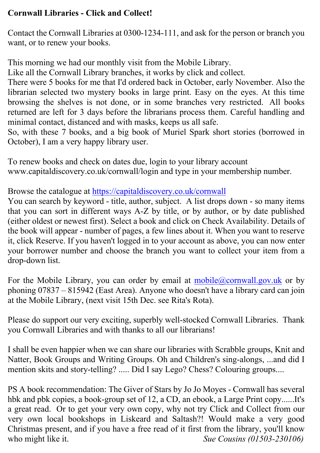# **Cornwall Libraries - Click and Collect!**

Contact the Cornwall Libraries at 0300-1234-111, and ask for the person or branch you want, or to renew your books.

This morning we had our monthly visit from the Mobile Library.

Like all the Cornwall Library branches, it works by click and collect.

There were 5 books for me that I'd ordered back in October, early November. Also the librarian selected two mystery books in large print. Easy on the eyes. At this time browsing the shelves is not done, or in some branches very restricted. All books returned are left for 3 days before the librarians process them. Careful handling and minimal contact, distanced and with masks, keeps us all safe.

So, with these 7 books, and a big book of Muriel Spark short stories (borrowed in October), I am a very happy library user.

To renew books and check on dates due, login to your library account www.capitaldiscovery.co.uk/cornwall/login and type in your membership number.

Browse the catalogue at https://capitaldiscovery.co.uk/cornwall

You can search by keyword - title, author, subject. A list drops down - so many items that you can sort in different ways A-Z by title, or by author, or by date published (either oldest or newest first). Select a book and click on Check Availability. Details of the book will appear - number of pages, a few lines about it. When you want to reserve it, click Reserve. If you haven't logged in to your account as above, you can now enter your borrower number and choose the branch you want to collect your item from a drop-down list.

For the Mobile Library, you can order by email at mobile@cornwall.gov.uk or by phoning 07837 – 815942 (East Area). Anyone who doesn't have a library card can join at the Mobile Library, (next visit 15th Dec. see Rita's Rota).

Please do support our very exciting, superbly well-stocked Cornwall Libraries. Thank you Cornwall Libraries and with thanks to all our librarians!

I shall be even happier when we can share our libraries with Scrabble groups, Knit and Natter, Book Groups and Writing Groups. Oh and Children's sing-alongs, ...and did I mention skits and story-telling? ..... Did I say Lego? Chess? Colouring groups....

PS A book recommendation: The Giver of Stars by Jo Jo Moyes - Cornwall has several hbk and pbk copies, a book-group set of 12, a CD, an ebook, a Large Print copy......It's a great read. Or to get your very own copy, why not try Click and Collect from our very own local bookshops in Liskeard and Saltash?! Would make a very good Christmas present, and if you have a free read of it first from the library, you'll know who might like it. **Sue Cousins (01503-230106)**